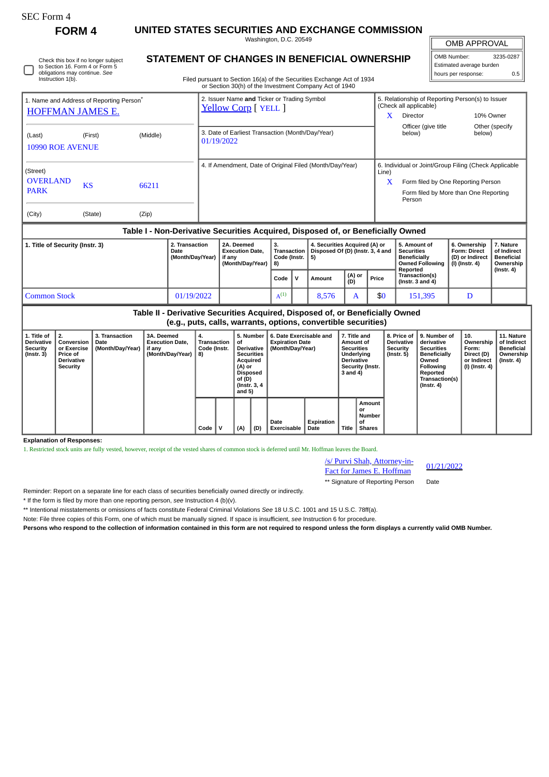# SEC Form 4

**FORM 4 UNITED STATES SECURITIES AND EXCHANGE COMMISSION**

Washington, D.C. 20549

Check this box if no longer subject to Section 16. Form 4 or Form 5 obligations may continue. *See* Instruction 1(b).

# **STATEMENT OF CHANGES IN BENEFICIAL OWNERSHIP**

Filed pursuant to Section 16(a) of the Securities Exchange Act of 1934 or Section 30(h) of the Investment Company Act of 1940

## OMB APPROVAL

 $\parallel$ 

| OMB Number:              | 3235-0287 |  |  |  |  |  |
|--------------------------|-----------|--|--|--|--|--|
| Estimated average burden |           |  |  |  |  |  |
| hours per response:      | 0.5       |  |  |  |  |  |

| 1. Name and Address of Reporting Person <sup>®</sup><br><b>HOFFMAN JAMES E.</b> |           |          | 2. Issuer Name and Ticker or Trading Symbol<br>Yellow Corp [ YELL ] | X          | 5. Relationship of Reporting Person(s) to Issuer<br>(Check all applicable)<br><b>Director</b>                                                  | 10% Owner                |
|---------------------------------------------------------------------------------|-----------|----------|---------------------------------------------------------------------|------------|------------------------------------------------------------------------------------------------------------------------------------------------|--------------------------|
| (Last)<br>10990 ROE AVENUE                                                      | (First)   | (Middle) | 3. Date of Earliest Transaction (Month/Day/Year)<br>01/19/2022      |            | Officer (give title<br>below)                                                                                                                  | Other (specify<br>below) |
| (Street)<br><b>OVERLAND</b><br><b>PARK</b>                                      | <b>KS</b> | 66211    | 4. If Amendment, Date of Original Filed (Month/Day/Year)            | Line)<br>X | 6. Individual or Joint/Group Filing (Check Applicable<br>Form filed by One Reporting Person<br>Form filed by More than One Reporting<br>Person |                          |
| (City)                                                                          | (State)   | (Zip)    |                                                                     |            |                                                                                                                                                |                          |

### **Table I - Non-Derivative Securities Acquired, Disposed of, or Beneficially Owned**

| 1. Title of Security (Instr. 3) | 2. Transaction<br>Date<br>(Month/Day/Year) | 2A. Deemed<br><b>Execution Date.</b><br>if anv<br>(Month/Dav/Year) | <b>Transaction</b><br>Code (Instr.   5)<br><b>18)</b> |  | 4. Securities Acquired (A) or<br>Disposed Of (D) (Instr. 3, 4 and |  |                                         | 5. Amount of<br>Securities<br><b>Beneficially</b><br>Owned Following<br>Reported | 6. Ownership<br><b>Form: Direct</b><br>(D) or Indirect<br>(I) (Instr. 4) | . Nature<br>of Indirect<br><b>Beneficial</b><br>Ownership<br>(Instr. 4) |
|---------------------------------|--------------------------------------------|--------------------------------------------------------------------|-------------------------------------------------------|--|-------------------------------------------------------------------|--|-----------------------------------------|----------------------------------------------------------------------------------|--------------------------------------------------------------------------|-------------------------------------------------------------------------|
|                                 |                                            |                                                                    | Code IV                                               |  | (A) or<br>(D)<br>Price<br>Amount                                  |  | Transaction(s)<br>(Instr. $3$ and $4$ ) |                                                                                  |                                                                          |                                                                         |
| <b>Common Stock</b>             | 01/19/2022                                 |                                                                    | $A^{(1)}$                                             |  | 8.576                                                             |  | \$0                                     | 151,395                                                                          |                                                                          |                                                                         |

| Table II - Derivative Securities Acquired, Disposed of, or Beneficially Owned<br>(e.g., puts, calls, warrants, options, convertible securities) |                                                                                     |                                            |                                                                                |      |                             |     |                                                                                                                                                                                       |                     |                         |       |                                                                                                                   |                                                            |                                                                                                                                                |                                                                            |                                                                           |
|-------------------------------------------------------------------------------------------------------------------------------------------------|-------------------------------------------------------------------------------------|--------------------------------------------|--------------------------------------------------------------------------------|------|-----------------------------|-----|---------------------------------------------------------------------------------------------------------------------------------------------------------------------------------------|---------------------|-------------------------|-------|-------------------------------------------------------------------------------------------------------------------|------------------------------------------------------------|------------------------------------------------------------------------------------------------------------------------------------------------|----------------------------------------------------------------------------|---------------------------------------------------------------------------|
| 1. Title of<br><b>Derivative</b><br><b>Security</b><br>$($ Instr. 3 $)$                                                                         | 2.<br>Conversion<br>or Exercise<br><b>Price of</b><br><b>Derivative</b><br>Security | 3. Transaction<br>Date<br>(Month/Day/Year) | 3A. Deemed<br>4.<br><b>Execution Date.</b><br>if any<br>(Month/Day/Year)<br>8) |      | Transaction<br>Code (Instr. |     | 5. Number<br><b>Expiration Date</b><br>оf<br>(Month/Day/Year)<br><b>Derivative</b><br><b>Securities</b><br>Acquired<br>(A) or<br><b>Disposed</b><br>of (D)<br>(Instr. 3, 4)<br>and 5) |                     | 6. Date Exercisable and |       | 7. Title and<br>Amount of<br><b>Securities</b><br>Underlying<br><b>Derivative</b><br>Security (Instr.<br>3 and 4) | 8. Price of<br><b>Derivative</b><br>Security<br>(Instr. 5) | 9. Number of<br>derivative<br><b>Securities</b><br><b>Beneficially</b><br>Owned<br>Following<br>Reported<br>Transaction(s)<br>$($ Instr. 4 $)$ | 10.<br>Ownership<br>Form:<br>Direct (D)<br>or Indirect<br>  (I) (Instr. 4) | 11. Nature<br>of Indirect<br><b>Beneficial</b><br>Ownership<br>(Instr. 4) |
|                                                                                                                                                 |                                                                                     |                                            |                                                                                | Code |                             | (A) | (D)                                                                                                                                                                                   | Date<br>Exercisable | Expiration<br>Date      | Title | Amount<br>or<br>Number<br>οf<br><b>Shares</b>                                                                     |                                                            |                                                                                                                                                |                                                                            |                                                                           |

**Explanation of Responses:**

1. Restricted stock units are fully vested, however, receipt of the vested shares of common stock is deferred until Mr. Hoffman leaves the Board.

| /s/ Purvi Shah, Attorney-in-<br>Fact for James E. Hoffman | 01/21/2022 |
|-----------------------------------------------------------|------------|
| ** Signature of Reporting Person                          | Date       |

\*\* Signature of Reporting Person Date

Reminder: Report on a separate line for each class of securities beneficially owned directly or indirectly.

\* If the form is filed by more than one reporting person, *see* Instruction 4 (b)(v).

\*\* Intentional misstatements or omissions of facts constitute Federal Criminal Violations *See* 18 U.S.C. 1001 and 15 U.S.C. 78ff(a).

Note: File three copies of this Form, one of which must be manually signed. If space is insufficient, *see* Instruction 6 for procedure.

**Persons who respond to the collection of information contained in this form are not required to respond unless the form displays a currently valid OMB Number.**